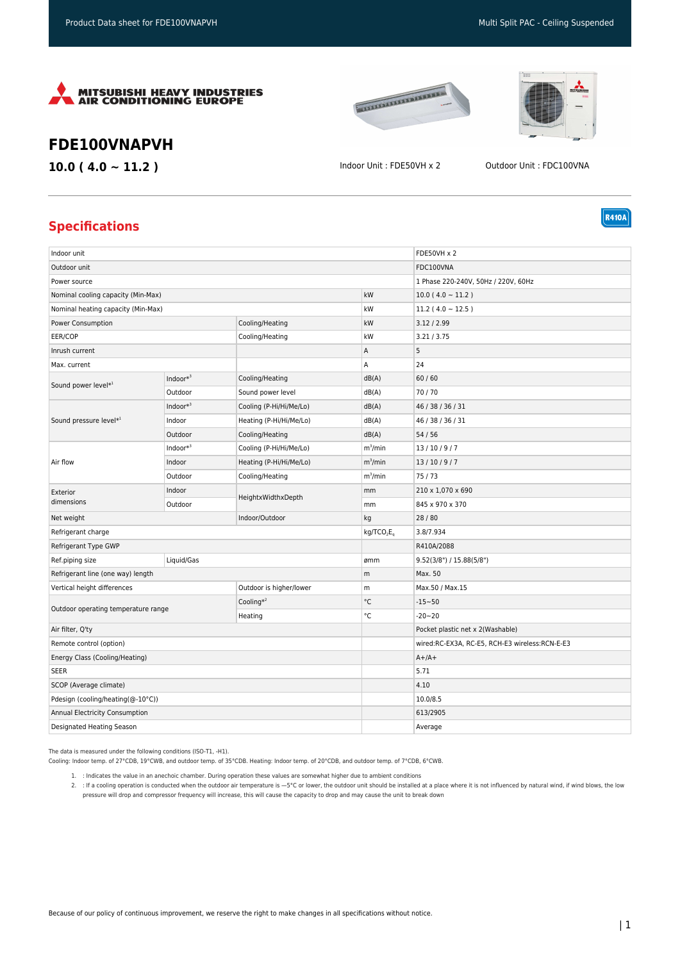





**R410A** 

## **FDE100VNAPVH**

**10.0 ( 4.0 ~ 11.2 )** Indoor Unit : FDE50VH x 2 Outdoor Unit : FDC100VNA

## **Specifications**

| Indoor unit                         |              |                         |                                    | <b>FDE50VH x 2</b>                             |
|-------------------------------------|--------------|-------------------------|------------------------------------|------------------------------------------------|
| Outdoor unit                        |              |                         |                                    | FDC100VNA                                      |
| Power source                        |              |                         |                                    | 1 Phase 220-240V, 50Hz / 220V, 60Hz            |
| Nominal cooling capacity (Min-Max)  |              |                         | kW                                 | $10.0(4.0 \sim 11.2)$                          |
| Nominal heating capacity (Min-Max)  |              |                         | kW                                 | $11.2(4.0 \sim 12.5)$                          |
| Power Consumption                   |              | Cooling/Heating         | kW                                 | 3.12 / 2.99                                    |
| EER/COP                             |              | Cooling/Heating         | kW                                 | 3.21 / 3.75                                    |
| Inrush current                      |              |                         | Α                                  | 5                                              |
| Max. current                        |              |                         | Α                                  | 24                                             |
| Sound power level*1                 | Indoor $*^3$ | Cooling/Heating         | dB(A)                              | 60/60                                          |
|                                     | Outdoor      | Sound power level       | dB(A)                              | 70/70                                          |
| Sound pressure level*1              | Indoor $*^3$ | Cooling (P-Hi/Hi/Me/Lo) | dB(A)                              | 46 / 38 / 36 / 31                              |
|                                     | Indoor       | Heating (P-Hi/Hi/Me/Lo) | dB(A)                              | 46 / 38 / 36 / 31                              |
|                                     | Outdoor      | Cooling/Heating         | dB(A)                              | 54/56                                          |
| Air flow                            | Indoor $*^3$ | Cooling (P-Hi/Hi/Me/Lo) | $m^3/m$ in                         | 13/10/9/7                                      |
|                                     | Indoor       | Heating (P-Hi/Hi/Me/Lo) | $m^3/m$ in                         | 13/10/9/7                                      |
|                                     | Outdoor      | Cooling/Heating         | $m^3/m$ in                         | 75/73                                          |
| Exterior<br>dimensions              | Indoor       | HeightxWidthxDepth      | mm                                 | 210 x 1,070 x 690                              |
|                                     | Outdoor      |                         | mm                                 | 845 x 970 x 370                                |
| Net weight<br>Indoor/Outdoor        |              |                         | kg                                 | 28/80                                          |
| Refrigerant charge                  |              |                         | kg/TCO <sub>2</sub> E <sub>0</sub> | 3.8/7.934                                      |
| Refrigerant Type GWP                |              |                         |                                    | R410A/2088                                     |
| Ref.piping size                     | Liquid/Gas   |                         | ømm                                | 9.52(3/8") / 15.88(5/8")                       |
| Refrigerant line (one way) length   |              |                         | m                                  | Max. 50                                        |
| Vertical height differences         |              | Outdoor is higher/lower | m                                  | Max.50 / Max.15                                |
| Outdoor operating temperature range |              | Cooling $*^2$           | $^{\circ}$ C                       | $-15 - 50$                                     |
|                                     |              | Heating                 | $^{\circ}{\rm C}$                  | $-20 - 20$                                     |
| Air filter, Q'ty                    |              |                         |                                    | Pocket plastic net x 2(Washable)               |
| Remote control (option)             |              |                         |                                    | wired:RC-EX3A, RC-E5, RCH-E3 wireless:RCN-E-E3 |
| Energy Class (Cooling/Heating)      |              |                         |                                    | $A+/A+$                                        |
| <b>SEER</b>                         |              |                         |                                    | 5.71                                           |
| SCOP (Average climate)              |              |                         |                                    | 4.10                                           |
| Pdesign (cooling/heating(@-10°C))   |              |                         |                                    | 10.0/8.5                                       |
| Annual Electricity Consumption      |              |                         |                                    | 613/2905                                       |
| Designated Heating Season           |              |                         |                                    | Average                                        |

The data is measured under the following conditions (ISO-T1, -H1).

Cooling: Indoor temp. of 27°CDB, 19°CWB, and outdoor temp. of 35°CDB. Heating: Indoor temp. of 20°CDB, and outdoor temp. of 7°CDB, 6°CWB.

1. : Indicates the value in an anechoic chamber. During operation these values are somewhat higher due to ambient conditions

2. : If a cooling operation is conducted when the outdoor air temperature is —5°C or lower, the outdoor unit should be installed at a place where it is not influenced by natural wind, if wind blows, the low pressure will drop and compressor frequency will increase, this will cause the capacity to drop and may cause the unit to break down